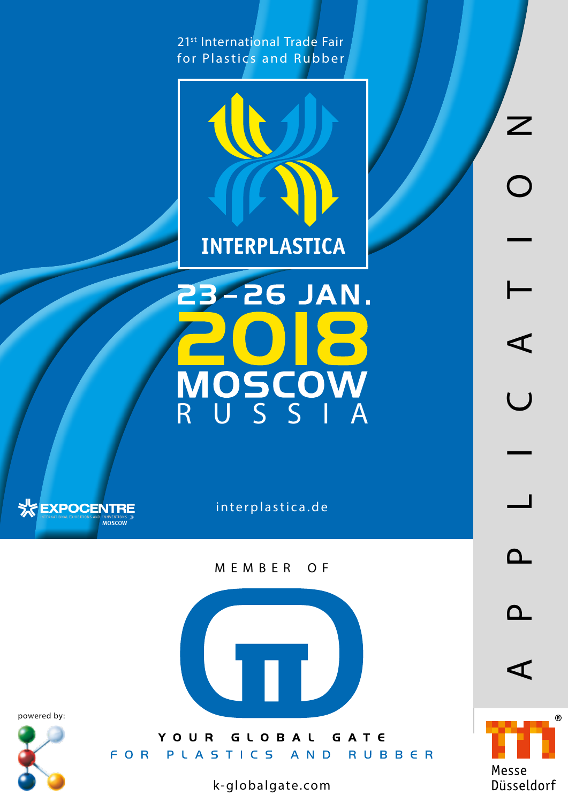21<sup>st</sup> International Trade Fair for Plastics and Rubber



23-26 JAN. MOSCOW<br>RUSSIA



interplastica.de

MEMBER OF

 $\sqrt{1 + \epsilon}$ 

powered by:



YOUR GLOBAL GATE FOR PLASTICS AND RUBBER

k-globalgate.com

APPLICATION $\frac{1}{2}$ for Plastics and Rubber Moscow, 23 - 26.01.2018 www.interplastica.de  $\blacktriangleleft$  $\overline{\cup}$  $\overline{\phantom{0}}$  $\mathbf{\Omega}$  $\Delta$ 



 $\blacktriangleleft$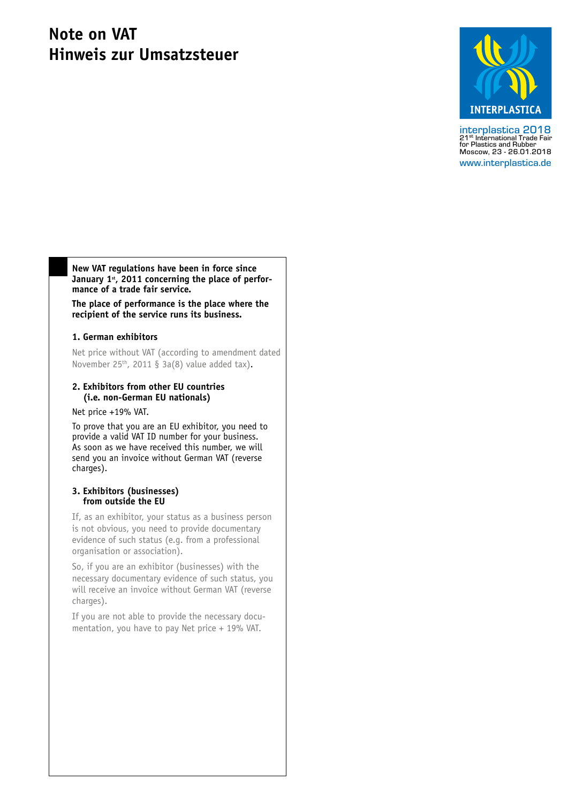# **Note on VAT Hinweis zur Umsatzsteuer**



interplastica 2018<br>21<sup>st</sup> International Trade Fair<br>for Plastics and Rubber<br>Moscow, 23 - 26.01.2018 www.interplastica.de

**New VAT regulations have been in force since**  January 1<sup>st</sup>, 2011 concerning the place of perfor**mance of a trade fair service.**

**The place of performance is the place where the recipient of the service runs its business.**

# **1. German exhibitors**

Net price without VAT (according to amendment dated November  $25<sup>th</sup>$ , 2011 § 3a(8) value added tax).

# **2. Exhibitors from other EU countries (i.e. non-German EU nationals)**

Net price +19% VAT.

To prove that you are an EU exhibitor, you need to provide a valid VAT ID number for your business. As soon as we have received this number, we will send you an invoice without German VAT (reverse charges).

# **3. Exhibitors (businesses) from outside the EU**

If, as an exhibitor, your status as a business person is not obvious, you need to provide documentary evidence of such status (e.g. from a professional organisation or association).

So, if you are an exhibitor (businesses) with the necessary documentary evidence of such status, you will receive an invoice without German VAT (reverse charges).

If you are not able to provide the necessary documentation, you have to pay Net price + 19% VAT.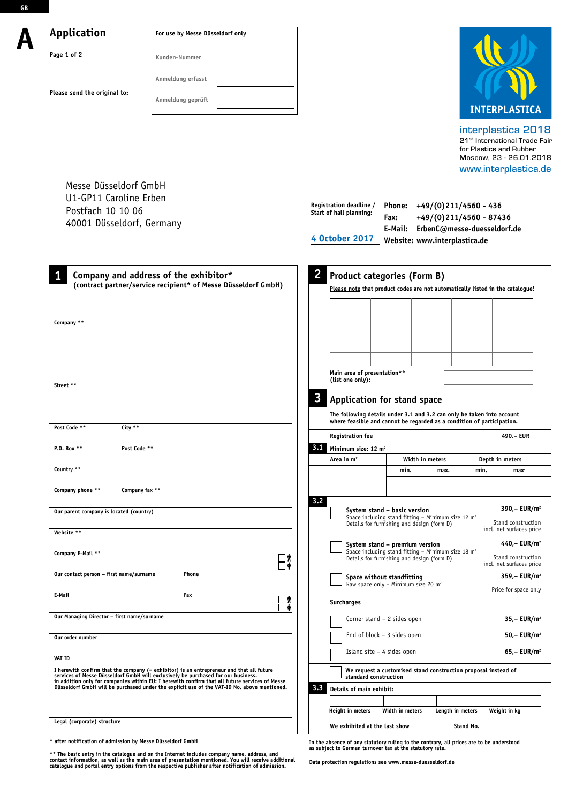**GB**

# **A Application**

**Please send the original to:**

**Page 1 of 2** 

| For use by Messe Düsseldorf only |  |
|----------------------------------|--|
| Kunden-Nummer                    |  |
| Anmeldung erfasst                |  |
| Anmeldung geprüft                |  |



interplastica 2018 21<sup>st</sup> International Trade Fair for Plastics and Rubber Moscow, 23 - 26.01.2018 www.interplastica.de

**Phone: +49/(0)211/4560 - 436 Registration deadline /** 

Messe Düsseldorf GmbH U1-GP11 Caroline Erben Postfach 10 10 06 40001 Düsseldorf, Germany

| Postfach 10 10 06                                                                                                                                                                                                                                                               |              | Start of hall planning:                                                                                             | Fax:                                                                                                                                           |                  | +49/(0)211/4560 - 87436 |                                                                            |
|---------------------------------------------------------------------------------------------------------------------------------------------------------------------------------------------------------------------------------------------------------------------------------|--------------|---------------------------------------------------------------------------------------------------------------------|------------------------------------------------------------------------------------------------------------------------------------------------|------------------|-------------------------|----------------------------------------------------------------------------|
| 40001 Düsseldorf, Germany                                                                                                                                                                                                                                                       |              | E-Mail: ErbenC@messe-duesseldorf.de                                                                                 |                                                                                                                                                |                  |                         |                                                                            |
|                                                                                                                                                                                                                                                                                 |              | 4 October 2017                                                                                                      | Website: www.interplastica.de                                                                                                                  |                  |                         |                                                                            |
|                                                                                                                                                                                                                                                                                 |              |                                                                                                                     |                                                                                                                                                |                  |                         |                                                                            |
| 1<br>Company and address of the exhibitor*<br>(contract partner/service recipient* of Messe Düsseldorf GmbH)                                                                                                                                                                    | 2            | <b>Product categories (Form B)</b><br>Please note that product codes are not automatically listed in the catalogue! |                                                                                                                                                |                  |                         |                                                                            |
|                                                                                                                                                                                                                                                                                 |              |                                                                                                                     |                                                                                                                                                |                  |                         |                                                                            |
| Company **                                                                                                                                                                                                                                                                      |              |                                                                                                                     |                                                                                                                                                |                  |                         |                                                                            |
|                                                                                                                                                                                                                                                                                 |              |                                                                                                                     |                                                                                                                                                |                  |                         |                                                                            |
|                                                                                                                                                                                                                                                                                 |              | Main area of presentation**<br>(list one only):                                                                     |                                                                                                                                                |                  |                         |                                                                            |
| Street **                                                                                                                                                                                                                                                                       | $\mathbf{3}$ | Application for stand space                                                                                         |                                                                                                                                                |                  |                         |                                                                            |
|                                                                                                                                                                                                                                                                                 |              | The following details under 3.1 and 3.2 can only be taken into account                                              |                                                                                                                                                |                  |                         |                                                                            |
| Post Code **<br>City $**$                                                                                                                                                                                                                                                       |              | where feasible and cannot be regarded as a condition of participation.<br><b>Registration fee</b>                   |                                                                                                                                                |                  |                         | 490.- EUR                                                                  |
| P.O. Box **<br>Post Code **                                                                                                                                                                                                                                                     | 3,1          | Minimum size: 12 m <sup>2</sup>                                                                                     |                                                                                                                                                |                  |                         |                                                                            |
|                                                                                                                                                                                                                                                                                 |              | Area in m <sup>2</sup>                                                                                              |                                                                                                                                                | Width in meters  | Depth in meters         |                                                                            |
| Country **                                                                                                                                                                                                                                                                      |              |                                                                                                                     | min.                                                                                                                                           | max.             | min.                    | max <sup>-</sup>                                                           |
| Company phone **<br>Company fax **                                                                                                                                                                                                                                              |              |                                                                                                                     |                                                                                                                                                |                  |                         |                                                                            |
| Our parent company is located (country)                                                                                                                                                                                                                                         | 3.2          |                                                                                                                     | System stand - basic version<br>Space including stand fitting - Minimum size 12 $m2$<br>Details for furnishing and design (form D)             |                  |                         | 390,- $EUR/m^2$<br>Stand construction                                      |
| Website **                                                                                                                                                                                                                                                                      |              |                                                                                                                     |                                                                                                                                                |                  |                         | incl. net surfaces price                                                   |
| Company E-Mail **<br>- 19                                                                                                                                                                                                                                                       |              |                                                                                                                     | System stand – premium version<br>Space including stand fitting - Minimum size 18 m <sup>2</sup><br>Details for furnishing and design (form D) |                  |                         | 440,- EUR/m <sup>2</sup><br>Stand construction<br>incl. net surfaces price |
| Our contact person - first name/surname<br>Phone                                                                                                                                                                                                                                |              |                                                                                                                     | Space without standfitting<br>Raw space only - Minimum size 20 m <sup>2</sup>                                                                  |                  |                         | $359 - EUR/m2$<br>Price for space only                                     |
| E-Mail<br>Fax<br>⊿ ∧                                                                                                                                                                                                                                                            |              | Surcharges                                                                                                          |                                                                                                                                                |                  |                         |                                                                            |
| Our Managing Director - first name/surname                                                                                                                                                                                                                                      |              |                                                                                                                     | Corner stand $-2$ sides open                                                                                                                   |                  |                         | $35 - EUR/m2$                                                              |
| Our order number                                                                                                                                                                                                                                                                |              |                                                                                                                     | End of block $-3$ sides open                                                                                                                   |                  |                         | $50 - EUR/m2$                                                              |
| <b>VAT ID</b>                                                                                                                                                                                                                                                                   |              |                                                                                                                     | Island site $-4$ sides open                                                                                                                    |                  |                         | $65 - EUR/m2$                                                              |
| I herewith confirm that the company (= exhibitor) is an entrepreneur and that all future<br>services of Messe Düsseldorf GmbH will exclusively be purchased for our business.<br>in addition only for companies within EU: I herewith confirm that all future services of Messe |              | standard construction                                                                                               | We request a customised stand construction proposal instead of                                                                                 |                  |                         |                                                                            |
| Düsseldorf GmbH will be purchased under the explicit use of the VAT-ID No. above mentioned.                                                                                                                                                                                     | 3.3          | Details of main exhibit:                                                                                            |                                                                                                                                                |                  |                         |                                                                            |
|                                                                                                                                                                                                                                                                                 |              |                                                                                                                     |                                                                                                                                                |                  |                         |                                                                            |
| Legal (corporate) structure                                                                                                                                                                                                                                                     |              | Height in meters                                                                                                    | Width in meters                                                                                                                                | Length in meters |                         | Weight in kg                                                               |
|                                                                                                                                                                                                                                                                                 |              | We exhibited at the last show                                                                                       |                                                                                                                                                |                  | Stand No.               |                                                                            |

**\* after notification of admission by Messe Düsseldorf GmbH**

\*\* The basic entry in the catalogue and on the Internet includes company name, address, and<br>contact information, as well as the main area of presentation mentioned. You will receive additional<br>catalogue and portal entry op

**In the absence of any statutory ruling to the contrary, all prices are to be understood as subject to German turnover tax at the statutory rate.**

**Data protection regulations see www.messe-duesseldorf.de**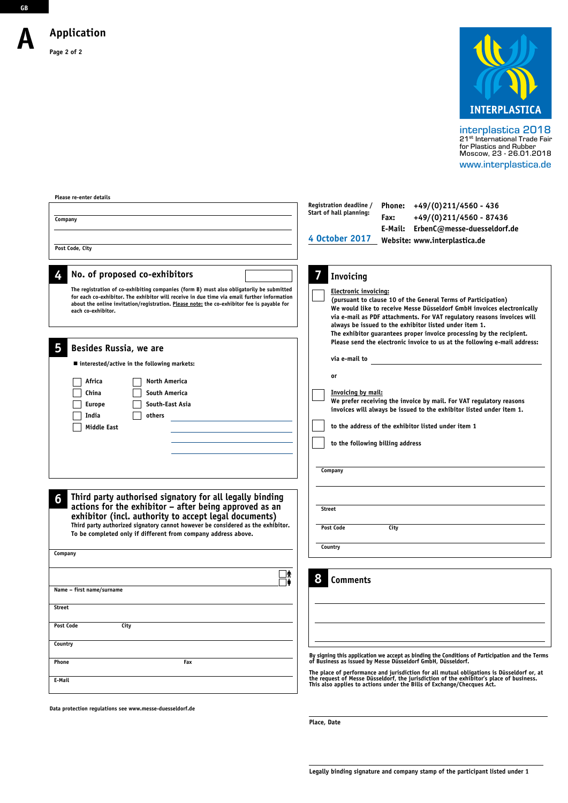**A**

**GB**



interplastica 2018 21st International Trade Fair for Plastics and Rubber Moscow, 23 - 26.01.2018 www.interplastica.de

**Please re-enter details Registration deadline / Phone: +49/(0)211/4560 - 436 Start of hall planning: Fax: +49/(0)211/4560 - 87436 Company E-Mail: ErbenC@messe-duesseldorf.de Website: www.interplastica.de 4 October 2017 Post Code, City No. of proposed co-exhibitors 4 7 Invoicing The registration of co-exhibiting companies (form B) must also obligatorily be submitted Electronic invoicing: for each co-exhibitor. The exhibitor will receive in due time via email further information (pursuant to clause 10 of the General Terms of Participation) about the online invitation/registration. Please note: the co-exhibitor fee is payable for We would like to receive Messe Düsseldorf GmbH invoices electronically each co-exhibitor. via e-mail as PDF attachments. For VAT regulatory reasons invoices will always be issued to the exhibitor listed under item 1. The exhibitor guarantees proper invoice processing by the recipient. Please send the electronic invoice to us at the following e-mail address: 5 Besides Russia, we are via e-mail to** ■ interested/active in the following markets: **or Africa North America China South America Invoicing by mail: We prefer receiving the invoice by mail. For VAT regulatory reasons Europe South-East Asia invoices will always be issued to the exhibitor listed under item 1. India others to the address of the exhibitor listed under item 1 Middle East to the following billing addressCompany Third party authorised signatory for all legally binding 6 actions for the exhibitor – after being approved as an Street exhibitor (incl. authority to accept legal documents) Third party authorized signatory cannot however be considered as the exhibitor. Post Code City To be completed only if different from company address above. Country Company**  $\Box$ **8 Comments Name – first name/surname Street** Post Code City **Country By signing this application we accept as binding the Conditions of Participation and the Terms of Business as issued by Messe Düsseldorf GmbH, Düsseldorf. Phone Fax** The place of performance and jurisdiction for all mutual obligations is Düsseldorf or, at<br>the request of Messe Düsseldorf, the jurisdiction of the exhibitor's place of business.<br>This also applies to actions under the Bills **E-Mail**

**Data protection regulations see www.messe-duesseldorf.de**

**Place, Date**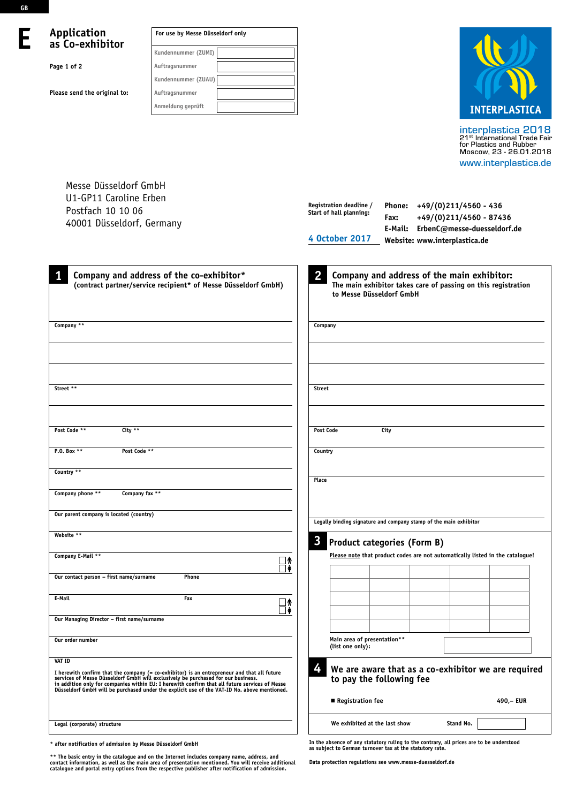**E**

# **Application as Co-exhibitor**

**Page 1 of 2**

**Please send the original to:** 

| For use by Messe Düsseldorf only |  |
|----------------------------------|--|
| Kundennummer (ZUMI)              |  |
| Auftragsnummer                   |  |
| Kundennummer (ZUAU)              |  |
| Auftragsnummer                   |  |
| Anmeldung geprüft                |  |



interplastica 2018<br>21<sup>st</sup> International Trade Fair<br>for Plastics and Rubber<br>Moscow, 23 - 26.01.2018 www.interplastica.de

**Phone: +49/(0)211/4560 - 436**

Messe Düsseldorf GmbH U1-GP11 Caroline Erben Postfach 10 10 06

| Postfach 10 10 06<br>40001 Düsseldorf, Germany                                                                                                                                                                                                                                                                                                                                                     | Registration deadline /<br>Phone: $+49/(0)211/4560 - 436$<br>Start of hall planning:<br>+49/(0)211/4560 - 87436<br>Fax:<br>E-Mail: ErbenC@messe-duesseldorf.de<br><b>4 October 2017</b><br>Website: www.interplastica.de |  |  |  |  |
|----------------------------------------------------------------------------------------------------------------------------------------------------------------------------------------------------------------------------------------------------------------------------------------------------------------------------------------------------------------------------------------------------|--------------------------------------------------------------------------------------------------------------------------------------------------------------------------------------------------------------------------|--|--|--|--|
| Company and address of the co-exhibitor*<br>1<br>(contract partner/service recipient* of Messe Düsseldorf GmbH)                                                                                                                                                                                                                                                                                    | $\overline{2}$<br>Company and address of the main exhibitor:<br>The main exhibitor takes care of passing on this registration<br>to Messe Düsseldorf GmbH                                                                |  |  |  |  |
| Company **                                                                                                                                                                                                                                                                                                                                                                                         | Company                                                                                                                                                                                                                  |  |  |  |  |
| Street **                                                                                                                                                                                                                                                                                                                                                                                          | <b>Street</b>                                                                                                                                                                                                            |  |  |  |  |
| Post Code **<br>City **                                                                                                                                                                                                                                                                                                                                                                            | City<br><b>Post Code</b>                                                                                                                                                                                                 |  |  |  |  |
| P.O. Box **<br>Post Code **                                                                                                                                                                                                                                                                                                                                                                        | Country                                                                                                                                                                                                                  |  |  |  |  |
| Country **<br>Company phone **<br>Company fax **                                                                                                                                                                                                                                                                                                                                                   | Place                                                                                                                                                                                                                    |  |  |  |  |
| Our parent company is located (country)                                                                                                                                                                                                                                                                                                                                                            | Legally binding signature and company stamp of the main exhibitor                                                                                                                                                        |  |  |  |  |
| Website **                                                                                                                                                                                                                                                                                                                                                                                         | $\mathbf{3}$<br><b>Product categories (Form B)</b>                                                                                                                                                                       |  |  |  |  |
| Company E-Mail **<br>⊺≬                                                                                                                                                                                                                                                                                                                                                                            | Please note that product codes are not automatically listed in the catalogue!                                                                                                                                            |  |  |  |  |
| Our contact person - first name/surname<br>Phone                                                                                                                                                                                                                                                                                                                                                   |                                                                                                                                                                                                                          |  |  |  |  |
| E-Mail<br>Fax<br>_∤                                                                                                                                                                                                                                                                                                                                                                                |                                                                                                                                                                                                                          |  |  |  |  |
| Our Managing Director - first name/surname                                                                                                                                                                                                                                                                                                                                                         |                                                                                                                                                                                                                          |  |  |  |  |
| Our order number                                                                                                                                                                                                                                                                                                                                                                                   | Main area of presentation**<br>(list one only):                                                                                                                                                                          |  |  |  |  |
| <b>VAT ID</b><br>I herewith confirm that the company (= co-exhibitor) is an entrepreneur and that all future<br>services of Messe Düsseldorf GmbH will exclusively be purchased for our business.<br>in addition only for companies within EU: I herewith confirm that all future services of Messe<br>Düsseldorf GmbH will be purchased under the explicit use of the VAT-ID No. above mentioned. | 4<br>We are aware that as a co-exhibitor we are required<br>to pay the following fee<br>Registration fee<br>490, - EUR                                                                                                   |  |  |  |  |
| Legal (corporate) structure                                                                                                                                                                                                                                                                                                                                                                        | Stand No.<br>We exhibited at the last show                                                                                                                                                                               |  |  |  |  |
|                                                                                                                                                                                                                                                                                                                                                                                                    |                                                                                                                                                                                                                          |  |  |  |  |

**\* after notification of admission by Messe Düsseldorf GmbH**

\*\* The basic entry in the catalogue and on the Internet includes company name, address, and<br>contact information, as well as the main area of presentation mentioned. You will receive additional<br>catalogue and portal entry op

**In the absence of any statutory ruling to the contrary, all prices are to be understood as subject to German turnover tax at the statutory rate.**

**Data protection regulations see www.messe-duesseldorf.de**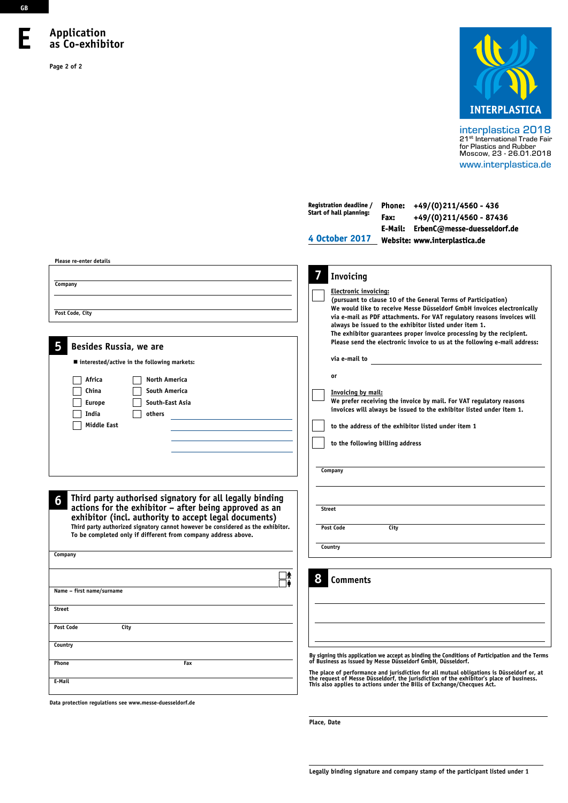### **E Application as Co-exhibitor**

**Page 2 of 2**



interplastica 2018 21st International Trade Fair for Plastics and Rubber Moscow, 23 - 26.01.2018 www.interplastica.de

| Please re-enter details                                                                                                                                                                                                                                                                                                                         | Registration deadline /<br>Phone: $+49/(0)211/4560 - 436$<br>Start of hall planning:<br>+49/(0)211/4560 - 87436<br>Fax:<br>E-Mail: ErbenC@messe-duesseldorf.de<br>4 October 2017<br>Website: www.interplastica.de                                                                                                                                                                                                                                                                                                                                                                                                                                                                                                                                                            |
|-------------------------------------------------------------------------------------------------------------------------------------------------------------------------------------------------------------------------------------------------------------------------------------------------------------------------------------------------|------------------------------------------------------------------------------------------------------------------------------------------------------------------------------------------------------------------------------------------------------------------------------------------------------------------------------------------------------------------------------------------------------------------------------------------------------------------------------------------------------------------------------------------------------------------------------------------------------------------------------------------------------------------------------------------------------------------------------------------------------------------------------|
| Company<br>Post Code, City<br>Besides Russia, we are<br>5<br>■ interested/active in the following markets:<br>Africa<br>North America<br><b>South America</b><br>China<br>South-East Asia<br><b>Europe</b><br>India<br>others<br><b>Middle East</b>                                                                                             | Invoicing<br><b>Electronic invoicing:</b><br>(pursuant to clause 10 of the General Terms of Participation)<br>We would like to receive Messe Düsseldorf GmbH invoices electronically<br>via e-mail as PDF attachments. For VAT regulatory reasons invoices will<br>always be issued to the exhibitor listed under item 1.<br>The exhibitor guarantees proper invoice processing by the recipient.<br>Please send the electronic invoice to us at the following e-mail address:<br>via e-mail to<br>or<br><b>Invoicing by mail:</b><br>We prefer receiving the invoice by mail. For VAT regulatory reasons<br>invoices will always be issued to the exhibitor listed under item 1.<br>to the address of the exhibitor listed under item 1<br>to the following billing address |
| Third party authorised signatory for all legally binding<br>6<br>actions for the exhibitor - after being approved as an<br>exhibitor (incl. authority to accept legal documents)<br>Third party authorized signatory cannot however be considered as the exhibitor.<br>To be completed only if different from company address above.<br>Company | Company<br><b>Street</b><br>Post Code<br>City<br>Country                                                                                                                                                                                                                                                                                                                                                                                                                                                                                                                                                                                                                                                                                                                     |
| Jጵ<br>Name - first name/surname<br><b>Street</b>                                                                                                                                                                                                                                                                                                | 8<br><b>Comments</b>                                                                                                                                                                                                                                                                                                                                                                                                                                                                                                                                                                                                                                                                                                                                                         |
| <b>Post Code</b><br>City<br>Country                                                                                                                                                                                                                                                                                                             | By signing this application we accept as binding the Conditions of Participation and the Terms                                                                                                                                                                                                                                                                                                                                                                                                                                                                                                                                                                                                                                                                               |
| Fax<br>Phone<br>E-Mail                                                                                                                                                                                                                                                                                                                          | of Business as issued by Messe Düsseldorf GmbH, Düsseldorf.<br>The place of performance and jurisdiction for all mutual obligations is Düsseldorf or, at<br>the request of Messe Düsseldorf, the jurisdiction of the exhibitor's place of business.<br>This also applies to actions under the Bills of Exchange/Checques Act.                                                                                                                                                                                                                                                                                                                                                                                                                                                |

**Data protection regulations see www.messe-duesseldorf.de**

**Place, Date**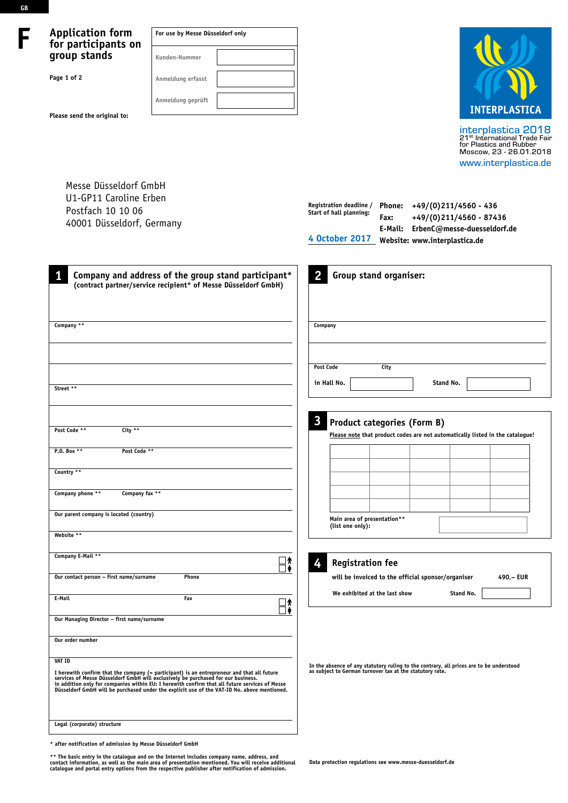# **Application form for participants on group stands**

**Please send the original to:** 

**Page 1 of 2** 

**F**

**GB**

| For use by Messe Düsseldorf only |  |  |
|----------------------------------|--|--|
| Kunden-Nummer                    |  |  |
| Anmeldung erfasst                |  |  |
| Anmeldung geprüft                |  |  |



interplastica 2018<br>21<sup>st</sup> International Trade Fair<br>for Plastics and Rubber<br>Moscow, 23 - 26.01.2018 www.interplastica.de

Messe Düsseldorf GmbH U1-GP11 Caroline Erben Postfach 10 10 06 40001 Düsseldorf, Germany

| Registration deadline / | <b>Phone:</b> | +49/(0)211/4560 - 436         |
|-------------------------|---------------|-------------------------------|
| Start of hall planning: | Fax:          | $+49/(0)$ 211/4560 - 87436    |
|                         | E-Mail:       | ErbenC@messe-duesseldorf.de   |
| 4 October 2017          |               | Website: www.interplastica.de |
|                         |               |                               |

| Company and address of the group stand participant*<br>(contract partner/service recipient* of Messe Düsseldorf GmbH)                                                                                                                                                                                                                                                                                                 | $\overline{2}$<br>Group stand organiser:                                                                                                            |
|-----------------------------------------------------------------------------------------------------------------------------------------------------------------------------------------------------------------------------------------------------------------------------------------------------------------------------------------------------------------------------------------------------------------------|-----------------------------------------------------------------------------------------------------------------------------------------------------|
| Company **                                                                                                                                                                                                                                                                                                                                                                                                            | Company                                                                                                                                             |
| Street **                                                                                                                                                                                                                                                                                                                                                                                                             | Post Code<br>City<br>in Hall No.<br>Stand No.                                                                                                       |
| Post Code **<br>City **<br>Post Code **<br>P.O. Box **                                                                                                                                                                                                                                                                                                                                                                | 3<br><b>Product categories (Form B)</b><br>Please note that product codes are not automatically listed in the catalogue!                            |
| Country **<br>Company phone **<br>Company fax **                                                                                                                                                                                                                                                                                                                                                                      |                                                                                                                                                     |
| Our parent company is located (country)<br>Website **                                                                                                                                                                                                                                                                                                                                                                 | Main area of presentation**<br>(list one only):                                                                                                     |
| Company E-Mail **<br>∃≬<br>Our contact person - first name/surname<br>Phone                                                                                                                                                                                                                                                                                                                                           | 4<br><b>Registration fee</b><br>will be invoiced to the official sponsor/organiser<br>490,- EUR                                                     |
| E-Mail<br>Fax<br>Jጵ                                                                                                                                                                                                                                                                                                                                                                                                   | We exhibited at the last show<br>Stand No.                                                                                                          |
| Our Managing Director - first name/surname                                                                                                                                                                                                                                                                                                                                                                            |                                                                                                                                                     |
| Our order number<br><b>VAT ID</b><br>I herewith confirm that the company (= participant) is an entrepreneur and that all future<br>services of Messe Düsseldorf GmbH will exclusively be purchased for our business.<br>in addition only for companies within EU: I herewith confirm that all future services of Messe<br>Düsseldorf GmbH will be purchased under the explicit use of the VAT-ID No. above mentioned. | In the absence of any statutory ruling to the contrary, all prices are to be understood<br>as subject to German turnover tax at the statutory rate. |
| Legal (corporate) structure                                                                                                                                                                                                                                                                                                                                                                                           |                                                                                                                                                     |

**\* after notification of admission by Messe Düsseldorf GmbH**

\*\* The basic entry in the catalogue and on the Internet includes company name, address, and<br>contact information, as well as the main area of presentation mentioned. You will receive additional<br>catalogue and portal entry op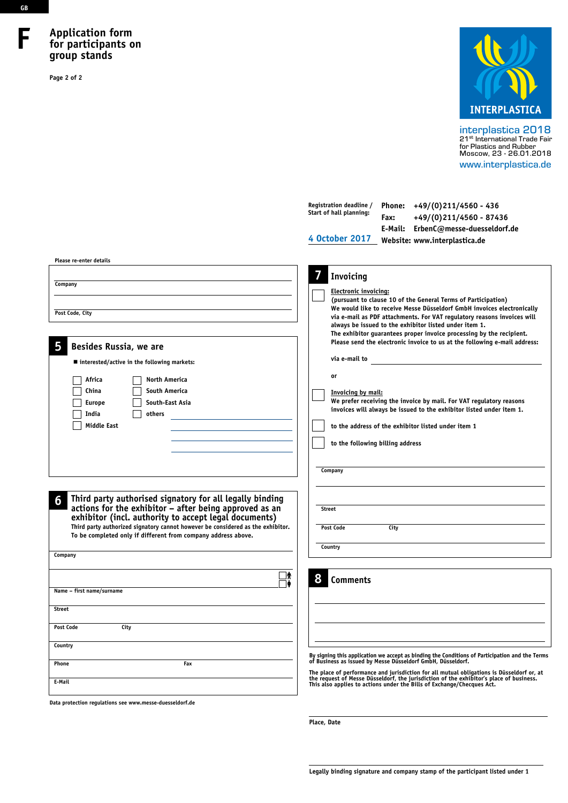# **Application form for participants on group stands**

**Page 2 of 2** 



interplastica 2018 21st International Trade Fair for Plastics and Rubber Moscow, 23 - 26.01.2018 www.interplastica.de

| Please re-enter details                                                                                                                                                                                                                                                                                                                                                           | Registration deadline /<br>Phone: $+49/(0)211/4560 - 436$<br>Start of hall planning:<br>+49/(0)211/4560 - 87436<br>Fax:<br>E-Mail: ErbenC@messe-duesseldorf.de<br>4 October 2017<br>Website: www.interplastica.de                                                                                                                                                                                                                                                                                                                                                                                                                                                                                                                                                   |
|-----------------------------------------------------------------------------------------------------------------------------------------------------------------------------------------------------------------------------------------------------------------------------------------------------------------------------------------------------------------------------------|---------------------------------------------------------------------------------------------------------------------------------------------------------------------------------------------------------------------------------------------------------------------------------------------------------------------------------------------------------------------------------------------------------------------------------------------------------------------------------------------------------------------------------------------------------------------------------------------------------------------------------------------------------------------------------------------------------------------------------------------------------------------|
| Company<br>Post Code, City<br>5<br>Besides Russia, we are<br>■ interested/active in the following markets:<br>Africa<br>North America<br><b>South America</b><br>China<br>South-East Asia<br><b>Europe</b><br>India<br>others<br><b>Middle East</b>                                                                                                                               | 7<br>Invoicing<br>Electronic invoicing:<br>(pursuant to clause 10 of the General Terms of Participation)<br>We would like to receive Messe Düsseldorf GmbH invoices electronically<br>via e-mail as PDF attachments. For VAT regulatory reasons invoices will<br>always be issued to the exhibitor listed under item 1.<br>The exhibitor guarantees proper invoice processing by the recipient.<br>Please send the electronic invoice to us at the following e-mail address:<br>via e-mail to<br>or<br>Invoicing by mail:<br>We prefer receiving the invoice by mail. For VAT regulatory reasons<br>invoices will always be issued to the exhibitor listed under item 1.<br>to the address of the exhibitor listed under item 1<br>to the following billing address |
| Third party authorised signatory for all legally binding<br>6<br>actions for the exhibitor - after being approved as an<br>exhibitor (incl. authority to accept legal documents)<br>Third party authorized signatory cannot however be considered as the exhibitor.<br>To be completed only if different from company address above.<br>Company<br>Λ<br>Name - first name/surname | Company<br><b>Street</b><br>Post Code<br>City<br>Country<br>8<br><b>Comments</b>                                                                                                                                                                                                                                                                                                                                                                                                                                                                                                                                                                                                                                                                                    |
| <b>Street</b><br>City<br>Post Code<br>Country<br>Phone<br>Fax<br>E-Mail                                                                                                                                                                                                                                                                                                           | By signing this application we accept as binding the Conditions of Participation and the Terms<br>of Business as issued by Messe Düsseldorf GmbH, Düsseldorf.<br>The place of performance and jurisdiction for all mutual obligations is Düsseldorf or, at<br>the request of Messe Düsseldorf, the jurisdiction of the exhibitor's place of business.<br>This also applies to actions under the Bills of Exchange/Checques Act.                                                                                                                                                                                                                                                                                                                                     |

**Data protection regulations see www.messe-duesseldorf.de**

**Place, Date**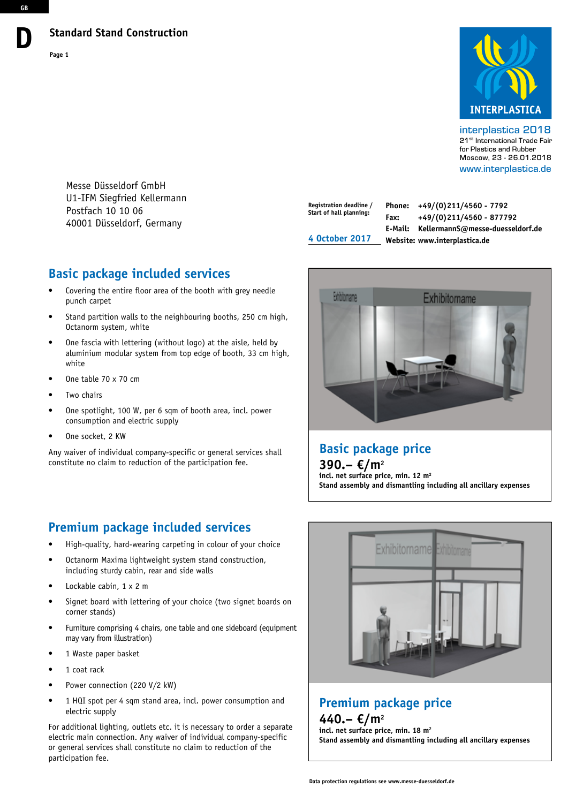

interplastica 2018 21st International Trade Fair for Plastics and Rubber Moscow, 23 - 26.01.2018 www.interplastica.de

Messe Düsseldorf GmbH U1-IFM Siegfried Kellermann Postfach 10 10 06 40001 Düsseldorf, Germany

# **Registration deadline / Start of hall planning: 4 October 2017**

**Phone: +49/(0)211/4560 - 7792 Fax: +49/(0)211/4560 - 877792 E-Mail: KellermannS@messe-duesseldorf.de Website: www.interplastica.de**



• One table 70 x 70 cm

Octanorm system, white

punch carpet

Two chairs

white

- One spotlight, 100 W, per 6 sqm of booth area, incl. power consumption and electric supply
- One socket, 2 KW

Any waiver of individual company-specific or general services shall constitute no claim to reduction of the participation fee.

# **Premium package included services**

- High-quality, hard-wearing carpeting in colour of your choice
- Octanorm Maxima lightweight system stand construction, including sturdy cabin, rear and side walls
- Lockable cabin, 1 x 2 m
- Signet board with lettering of your choice (two signet boards on corner stands)
- Furniture comprising 4 chairs, one table and one sideboard (equipment may vary from illustration)
- 1 Waste paper basket
- 1 coat rack
- Power connection (220 V/2 kW)
- 1 HQI spot per 4 sqm stand area, incl. power consumption and electric supply

For additional lighting, outlets etc. it is necessary to order a separate electric main connection. Any waiver of individual company-specific or general services shall constitute no claim to reduction of the participation fee.



**Stand assembly and dismantling including all ancillary expenses**



# **Premium package price**

**440.– €/m2 incl. net surface price, min. 18 m2 Stand assembly and dismantling including all ancillary expenses**

**GB**

**D**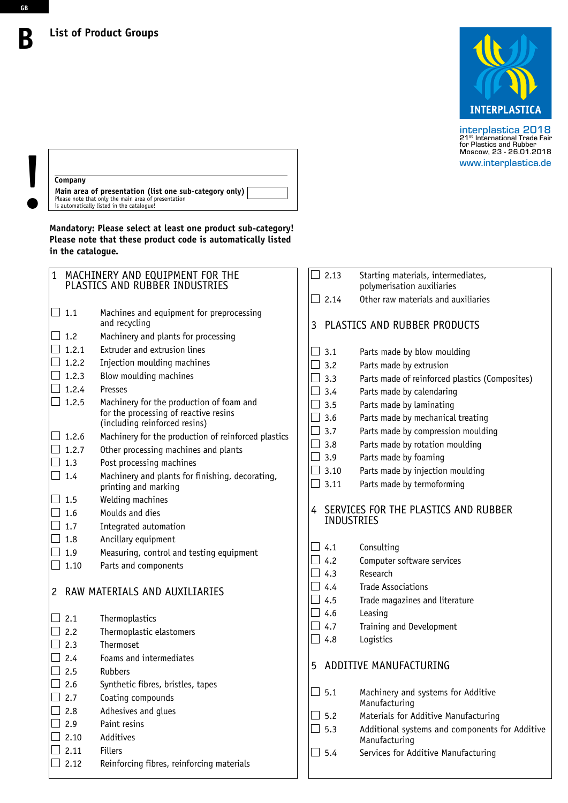

interplastica 2018<br>21<sup>st</sup> International Trade Fair<br>for Plastics and Rubber<br>Moscow, 23 - 26.01.2018 www.interplastica.de

# **Company**

 **B**

**GB**

**Main area of presentation (list one sub-category only) Company**<br> **Main area of presentation (list one su**<br>
Please note that only the main area of presentation<br>
is automatically listed in the catalogue!

**Mandatory: Please select at least one product sub-category! Please note that these product code is automatically listed in the catalogue.**

| $\mathbf{1}$ |               | MACHINERY AND EQUIPMENT FOR THE<br>PLASTICS AND RUBBER INDUSTRIES                                                  |   | 2.13                |
|--------------|---------------|--------------------------------------------------------------------------------------------------------------------|---|---------------------|
|              |               |                                                                                                                    |   | 2.14                |
|              | 1.1           | Machines and equipment for preprocessing<br>and recycling                                                          | 3 | <b>PLAS</b>         |
|              | 1.2           | Machinery and plants for processing                                                                                |   |                     |
|              | 1.2.1         | Extruder and extrusion lines                                                                                       |   | 3.1                 |
|              | 1.2.2         | Injection moulding machines                                                                                        |   | 3.2                 |
|              | 1.2.3         | Blow moulding machines                                                                                             |   | 3.3                 |
|              | 1.2.4         | Presses                                                                                                            |   | 3.4                 |
|              | 1.2.5         | Machinery for the production of foam and<br>for the processing of reactive resins<br>(including reinforced resins) |   | 3.5<br>3.6<br>3.7   |
|              | 1.2.6         | Machinery for the production of reinforced plastics                                                                |   | 3.8                 |
|              | 1.2.7         | Other processing machines and plants                                                                               |   | 3.9                 |
|              | 1.3           | Post processing machines                                                                                           |   | 3.10                |
|              | 1.4           | Machinery and plants for finishing, decorating,<br>printing and marking                                            |   | 3.11                |
|              | 1.5           | Welding machines                                                                                                   |   |                     |
|              | 1.6           | Moulds and dies                                                                                                    | 4 | <b>SERV</b><br>INDL |
|              | 1.7           | Integrated automation                                                                                              |   |                     |
|              | 1.8           | Ancillary equipment                                                                                                |   |                     |
|              | 1.9           | Measuring, control and testing equipment                                                                           |   | 4.1<br>4.2          |
|              | 1.10          | Parts and components                                                                                               |   | 4.3                 |
| 2            |               | RAW MATERIALS AND AUXILIARIES                                                                                      |   | 4.4<br>4.5<br>4.6   |
|              | 2.1           | Thermoplastics                                                                                                     |   | 4.7                 |
|              | 2.2           | Thermoplastic elastomers                                                                                           |   | 4.8                 |
|              | 2.3           | Thermoset                                                                                                          |   |                     |
|              | 2.4           | Foams and intermediates                                                                                            | 5 | ADD <sub>1</sub>    |
|              | 2.5           | <b>Rubbers</b>                                                                                                     |   |                     |
|              | 2.6           | Synthetic fibres, bristles, tapes                                                                                  |   | 5.1                 |
|              | $\supset$ 2.7 | Coating compounds                                                                                                  |   |                     |
|              | 2.8           | Adhesives and glues                                                                                                |   | 5.2                 |
|              | 2.9           | Paint resins                                                                                                       |   | 5.3                 |
|              | 2.10          | Additives                                                                                                          |   |                     |
|              | 2.11          | <b>Fillers</b>                                                                                                     |   | 5.4                 |
|              | 2.12          | Reinforcing fibres, reinforcing materials                                                                          |   |                     |
|              |               |                                                                                                                    |   |                     |

|                   | $\Box$ 2.13       | Starting materials, intermediates,<br>polymerisation auxiliaries |
|-------------------|-------------------|------------------------------------------------------------------|
| $\vert \ \ \vert$ | 2.14              | Other raw materials and auxiliaries                              |
| 3                 |                   | PLASTICS AND RUBBER PRODUCTS                                     |
|                   | 3.1               | Parts made by blow moulding                                      |
|                   | 3.2               | Parts made by extrusion                                          |
|                   | 3.3               | Parts made of reinforced plastics (Composites)                   |
|                   | 3.4               | Parts made by calendaring                                        |
|                   | 3.5               | Parts made by laminating                                         |
|                   | 3.6               | Parts made by mechanical treating                                |
|                   | 3.7               | Parts made by compression moulding                               |
|                   | 3.8               | Parts made by rotation moulding                                  |
|                   | 3.9               | Parts made by foaming                                            |
|                   | 3.10              | Parts made by injection moulding                                 |
| $\Box$            | 3.11              | Parts made by termoforming                                       |
| 4                 | <b>INDUSTRIES</b> | SERVICES FOR THE PLASTICS AND RUBBER                             |
|                   | 4.1               | Consulting                                                       |
|                   | $\perp$ 4.2       | Computer software services                                       |
|                   | $\vert$ 4.3       | Research                                                         |
|                   | $\perp$ 4.4       | <b>Trade Associations</b>                                        |
|                   | $\vert$ 4.5       | Trade magazines and literature                                   |
|                   | $\perp$ 4.6       | Leasing                                                          |
|                   | 4.7               | Training and Development                                         |
|                   | 4.8               | Logistics                                                        |
| 5                 |                   | ADDITIVE MANUFACTURING                                           |
|                   | 5.1               | Machinery and systems for Additive<br>Manufacturing              |
|                   | 5.2               | Materials for Additive Manufacturing                             |
|                   | 5.3               | Additional systems and components for Additive<br>Manufacturing  |

Services for Additive Manufacturing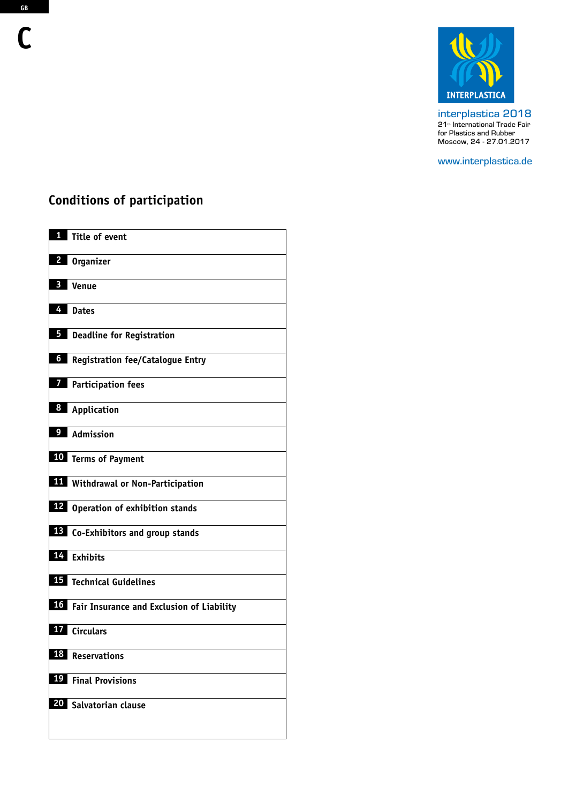

interplastica 2018 21<sup>th</sup> International Trade Fair for Plastics and Rubber Moscow, 24 - 27.01.2017

www.interplastica.de

# **Conditions of participation**

| 1                       | Title of event                               |
|-------------------------|----------------------------------------------|
| 2                       | <b>Organizer</b>                             |
| 3                       | Venue                                        |
| 4                       | <b>Dates</b>                                 |
| 5                       | <b>Deadline for Registration</b>             |
| $\overline{\mathbf{6}}$ | Registration fee/Catalogue Entry             |
| $\overline{7}$          | <b>Participation fees</b>                    |
| 8                       | Application                                  |
|                         | <sup>9</sup> Admission                       |
|                         | 10 Terms of Payment                          |
|                         | <b>11</b> Withdrawal or Non-Participation    |
|                         | 12 Operation of exhibition stands            |
|                         | 13 Co-Exhibitors and group stands            |
|                         | 14 Exhibits                                  |
|                         | <b>15</b> Technical Guidelines               |
|                         | 16 Fair Insurance and Exclusion of Liability |
|                         | 17 Circulars                                 |
| 18                      | Reservations                                 |
| 19                      | <b>Final Provisions</b>                      |
|                         | 20 Salvatorian clause                        |
|                         |                                              |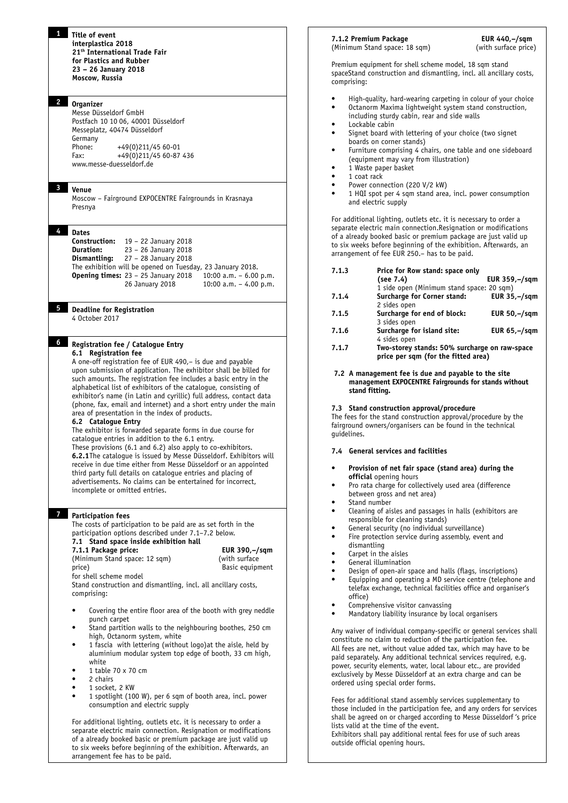# **2 Organizer**

Messe Düsseldorf GmbH Postfach 10 10 06, 40001 Düsseldorf Messeplatz, 40474 Düsseldorf **Germany** Phone: +49(0)211/45 60-01<br>Fax: +49(0)211/45 60-87 Fax: +49(0)211/45 60-87 436 www.messe-duesseldorf.de

#### **3 Venue**

Moscow – Fairground EXPOCENTRE Fairgrounds in Krasnaya Presnya

#### **4 Dates**

| Construction:    | 19 - 22 January 2018                                       |                          |
|------------------|------------------------------------------------------------|--------------------------|
| <b>Duration:</b> | 23 - 26 January 2018                                       |                          |
| Dismantling:     | 27 – 28 January 2018                                       |                          |
|                  | The exhibition will be opened on Tuesday, 23 January 2018. |                          |
|                  | <b>Opening times:</b> $23 - 25$ January 2018               | 10:00 a.m. $-6.00$ p.m.  |
|                  | 26 January 2018                                            | 10:00 a.m. $-$ 4.00 p.m. |
|                  |                                                            |                          |

# **5 Deadline for Registration**

4 October 2017

#### **6 Registration fee / Catalogue Entry 6.1 Registration fee**

A one-off registration fee of EUR 490,– is due and payable upon submission of application. The exhibitor shall be billed for such amounts. The registration fee includes a basic entry in the alphabetical list of exhibitors of the catalogue, consisting of exhibitor's name (in Latin and cyrillic) full address, contact data (phone, fax, email and internet) and a short entry under the main area of presentation in the index of products.

#### **6.2 Catalogue Entry**

The exhibitor is forwarded separate forms in due course for catalogue entries in addition to the 6.1 entry. These provisions (6.1 and 6.2) also apply to co-exhibitors. **6.2.1**The catalogue is issued by Messe Düsseldorf. Exhibitors will receive in due time either from Messe Düsseldorf or an appointed third party full details on catalogue entries and placing of advertisements. No claims can be entertained for incorrect, incomplete or omitted entries.

#### **7 Participation fees**

The costs of participation to be paid are as set forth in the participation options described under 7.1–7.2 below.

**7.1 Stand space inside exhibition hall 7.1.1 Package price: EUR 390,–/sqm**<br>
(Minimum Stand space: 12 sqm) (with surface) (Minimum Stand space: 12 sqm)<br>price) **Basic equipment** for shell scheme model

Stand construction and dismantling, incl. all ancillary costs, comprising:

- Covering the entire floor area of the booth with grey neddle punch carpet
- Stand partition walls to the neighbouring boothes, 250 cm high, Octanorm system, white
- 1 fascia with lettering (without logo) at the aisle, held by aluminium modular system top edge of booth, 33 cm high, white
- 1 table 70 x 70 cm
- 2 chairs
- 1 socket, 2 KW
- 1 spotlight (100 W), per 6 sqm of booth area, incl. power consumption and electric supply

For additional lighting, outlets etc. it is necessary to order a separate electric main connection. Resignation or modifications of a already booked basic or premium package are just valid up to six weeks before beginning of the exhibition. Afterwards, an arrangement fee has to be paid.

#### **7.1.2 Premium Package EUR 440,-/sqm**<br>(Minimum Stand space: 18 sqm) (with surface price) (Minimum Stand space: 18 sqm)

Premium equipment for shell scheme model, 18 sqm stand spaceStand construction and dismantling, incl. all ancillary costs, comprising:

- High-quality, hard-wearing carpeting in colour of your choice • Octanorm Maxima lightweight system stand construction,
- including sturdy cabin, rear and side walls
- Lockable cabin
- Signet board with lettering of your choice (two signet boards on corner stands)
- Furniture comprising 4 chairs, one table and one sideboard (equipment may vary from illustration)
- 1 Waste paper basket
- 1 coat rack
- Power connection (220 V/2 kW)
- 1 HQI spot per 4 sqm stand area, incl. power consumption and electric supply

For additional lighting, outlets etc. it is necessary to order a separate electric main connection.Resignation or modifications of a already booked basic or premium package are just valid up to six weeks before beginning of the exhibition. Afterwards, an arrangement of fee EUR 250.– has to be paid.

| 7.1.3 | Price for Row stand: space only                                                      |                       |  |
|-------|--------------------------------------------------------------------------------------|-----------------------|--|
|       | (see 7.4)                                                                            | EUR 359,-/sqm         |  |
|       | 1 side open (Minimum stand space: 20 sqm)                                            |                       |  |
| 7.1.4 | Surcharge for Corner stand:                                                          | EUR $35,-/\text{sgm}$ |  |
|       | 2 sides open                                                                         |                       |  |
| 7.1.5 | Surcharge for end of block:                                                          | EUR $50,-/\text{sgm}$ |  |
|       | 3 sides open                                                                         |                       |  |
| 7.1.6 | Surcharge for island site:                                                           | EUR $65,-/sgm$        |  |
|       | 4 sides open                                                                         |                       |  |
| 7.1.7 | Two-storey stands: 50% surcharge on raw-space<br>price per sqm (for the fitted area) |                       |  |

#### **7.2 A management fee is due and payable to the site management EXPOCENTRE Fairgrounds for stands without stand fitting.**

#### **7.3 Stand construction approval/procedure**

The fees for the stand construction approval/procedure by the fairground owners/organisers can be found in the technical guidelines.

#### **7.4 General services and facilities**

- **• Provision of net fair space (stand area) during the official** opening hours
- Pro rata charge for collectively used area (difference between gross and net area)
- Stand number
- Cleaning of aisles and passages in halls (exhibitors are responsible for cleaning stands)
- General security (no individual surveillance)
- Fire protection service during assembly, event and dismantling
- Carpet in the aisles
- General illumination
- Design of open-air space and halls (flags, inscriptions)
- Equipping and operating a MD service centre (telephone and telefax exchange, technical facilities office and organiser's office)
- Comprehensive visitor canvassing
- Mandatory liability insurance by local organisers

Any waiver of individual company-specific or general services shall constitute no claim to reduction of the participation fee. All fees are net, without value added tax, which may have to be paid separately. Any additional technical services required, e.g. power, security elements, water, local labour etc., are provided exclusively by Messe Düsseldorf at an extra charge and can be ordered using special order forms.

Fees for additional stand assembly services supplementary to those included in the participation fee, and any orders for services shall be agreed on or charged according to Messe Düsseldorf 's price lists valid at the time of the event.

Exhibitors shall pay additional rental fees for use of such areas outside official opening hours.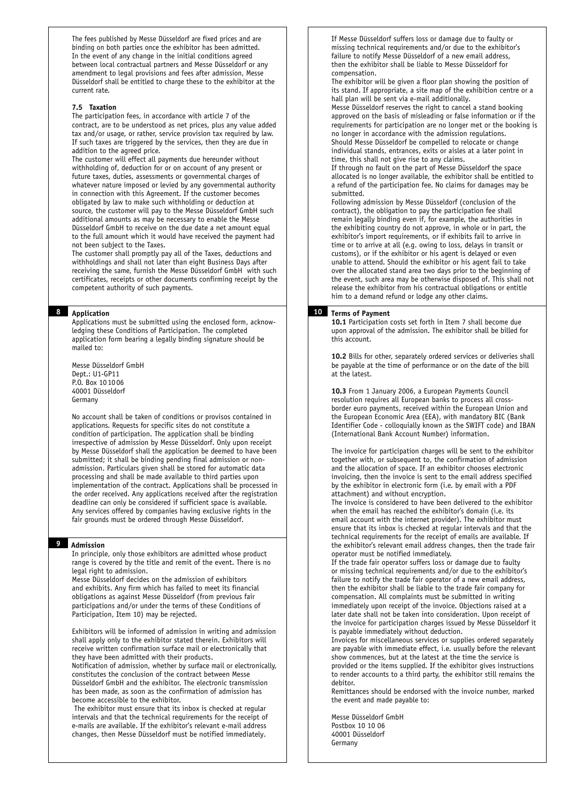The fees published by Messe Düsseldorf are fixed prices and are binding on both parties once the exhibitor has been admitted. In the event of any change in the initial conditions agreed between local contractual partners and Messe Düsseldorf or any amendment to legal provisions and fees after admission, Messe Düsseldorf shall be entitled to charge these to the exhibitor at the current rate.

#### **7.5 Taxation**

The participation fees, in accordance with article 7 of the contract, are to be understood as net prices, plus any value added tax and/or usage, or rather, service provision tax required by law. If such taxes are triggered by the services, then they are due in addition to the agreed price.

The customer will effect all payments due hereunder without withholding of, deduction for or on account of any present or future taxes, duties, assessments or governmental charges of whatever nature imposed or levied by any governmental authority in connection with this Agreement. If the customer becomes obligated by law to make such withholding or deduction at source, the customer will pay to the Messe Düsseldorf GmbH such additional amounts as may be necessary to enable the Messe Düsseldorf GmbH to receive on the due date a net amount equal to the full amount which it would have received the payment had not been subject to the Taxes.

The customer shall promptly pay all of the Taxes, deductions and withholdings and shall not later than eight Business Days after receiving the same, furnish the Messe Düsseldorf GmbH with such certificates, receipts or other documents confirming receipt by the competent authority of such payments.

# **8 Application**

Applications must be submitted using the enclosed form, acknowledging these Conditions of Participation. The completed application form bearing a legally binding signature should be mailed to:

Messe Düsseldorf GmbH Dept.: U1-GP11 P.O. Box 10 1006 40001 Düsseldorf Germany

No account shall be taken of conditions or provisos contained in applications. Requests for specific sites do not constitute a condition of participation. The application shall be binding irrespective of admission by Messe Düsseldorf. Only upon receipt by Messe Düsseldorf shall the application be deemed to have been submitted; it shall be binding pending final admission or nonadmission. Particulars given shall be stored for automatic data processing and shall be made available to third parties upon implementation of the contract. Applications shall be processed in the order received. Any applications received after the registration deadline can only be considered if sufficient space is available. Any services offered by companies having exclusive rights in the fair grounds must be ordered through Messe Düsseldorf.

# **9 Admission**

In principle, only those exhibitors are admitted whose product range is covered by the title and remit of the event. There is no legal right to admission.

Messe Düsseldorf decides on the admission of exhibitors and exhibits. Any firm which has failed to meet its financial obligations as against Messe Düsseldorf (from previous fair participations and/or under the terms of these Conditions of Participation, Item 10) may be rejected.

Exhibitors will be informed of admission in writing and admission shall apply only to the exhibitor stated therein. Exhibitors will receive written confirmation surface mail or electronically that they have been admitted with their products.

Notification of admission, whether by surface mail or electronically, constitutes the conclusion of the contract between Messe Düsseldorf GmbH and the exhibitor. The electronic transmission has been made, as soon as the confirmation of admission has become accessible to the exhibitor.

 The exhibitor must ensure that its inbox is checked at regular intervals and that the technical requirements for the receipt of e-mails are available. If the exhibitor's relevant e-mail address changes, then Messe Düsseldorf must be notified immediately.

If Messe Düsseldorf suffers loss or damage due to faulty or missing technical requirements and/or due to the exhibitor's failure to notify Messe Düsseldorf of a new email address, then the exhibitor shall be liable to Messe Düsseldorf for compensation.

The exhibitor will be given a floor plan showing the position of its stand. If appropriate, a site map of the exhibition centre or a hall plan will be sent via e-mail additionally.

Messe Düsseldorf reserves the right to cancel a stand booking approved on the basis of misleading or false information or if the requirements for participation are no longer met or the booking is no longer in accordance with the admission regulations. Should Messe Düsseldorf be compelled to relocate or change individual stands, entrances, exits or aisles at a later point in

time, this shall not give rise to any claims. If through no fault on the part of Messe Düsseldorf the space

allocated is no longer available, the exhibitor shall be entitled to a refund of the participation fee. No claims for damages may be submitted.

Following admission by Messe Düsseldorf (conclusion of the contract), the obligation to pay the participation fee shall remain legally binding even if, for example, the authorities in the exhibiting country do not approve, in whole or in part, the exhibitor's import requirements, or if exhibits fail to arrive in time or to arrive at all (e.g. owing to loss, delays in transit or customs), or if the exhibitor or his agent is delayed or even unable to attend. Should the exhibitor or his agent fail to take over the allocated stand area two days prior to the beginning of the event, such area may be otherwise disposed of. This shall not release the exhibitor from his contractual obligations or entitle him to a demand refund or lodge any other claims.

#### **10 Terms of Payment**

**10.1** Participation costs set forth in Item 7 shall become due upon approval of the admission. The exhibitor shall be billed for this account.

**10.2** Bills for other, separately ordered services or deliveries shall be payable at the time of performance or on the date of the bill at the latest.

**10.3** From 1 January 2006, a European Payments Council resolution requires all European banks to process all crossborder euro payments, received within the European Union and the European Economic Area (EEA), with mandatory BIC (Bank Identifier Code - colloquially known as the SWIFT code) and IBAN (International Bank Account Number) information.

The invoice for participation charges will be sent to the exhibitor together with, or subsequent to, the confirmation of admission and the allocation of space. If an exhibitor chooses electronic invoicing, then the invoice is sent to the email address specified by the exhibitor in electronic form (i.e. by email with a PDF attachment) and without encryption.

The invoice is considered to have been delivered to the exhibitor when the email has reached the exhibitor's domain (i.e. its email account with the internet provider). The exhibitor must ensure that its inbox is checked at regular intervals and that the technical requirements for the receipt of emails are available. If the exhibitor's relevant email address changes, then the trade fair operator must be notified immediately.

If the trade fair operator suffers loss or damage due to faulty or missing technical requirements and/or due to the exhibitor's failure to notify the trade fair operator of a new email address, then the exhibitor shall be liable to the trade fair company for compensation. All complaints must be submitted in writing immediately upon receipt of the invoice. Objections raised at a later date shall not be taken into consideration. Upon receipt of the invoice for participation charges issued by Messe Düsseldorf it is payable immediately without deduction.

Invoices for miscellaneous services or supplies ordered separately are payable with immediate effect, i.e. usually before the relevant show commences, but at the latest at the time the service is provided or the items supplied. If the exhibitor gives instructions to render accounts to a third party, the exhibitor still remains the debitor.

Remittances should be endorsed with the invoice number, marked the event and made payable to:

Messe Düsseldorf GmbH Postbox 10 10 06 40001 Düsseldorf Germany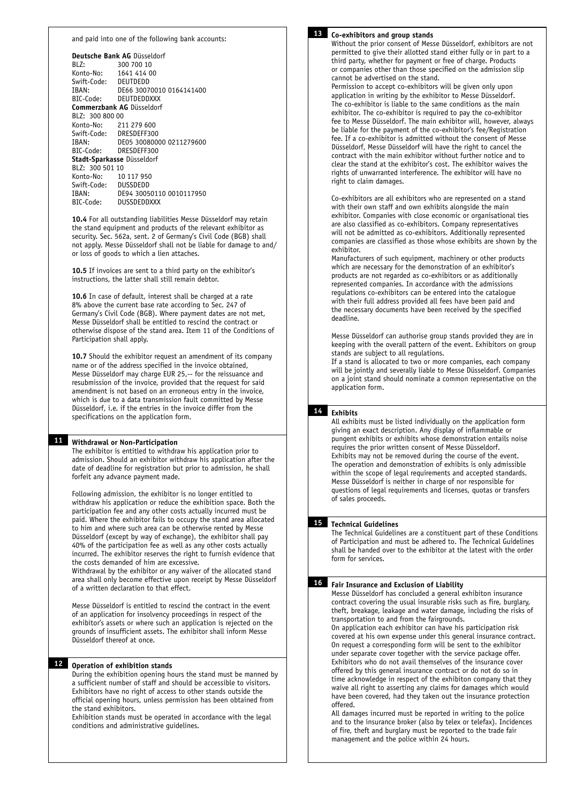#### and paid into one of the following bank accounts:

| Deutsche Bank AG Düsseldorf      |                          |  |  |
|----------------------------------|--------------------------|--|--|
| BLZ:                             | 300 700 10               |  |  |
| Konto-No: 1641 414 00            |                          |  |  |
| Swift-Code: DEUTDEDD             |                          |  |  |
| IBAN:                            | DE66 30070010 0164141400 |  |  |
| BIC-Code: DEUTDEDDXXX            |                          |  |  |
| <b>Commerzbank AG Düsseldorf</b> |                          |  |  |
| BLZ: 300 800 00                  |                          |  |  |
| Konto-No: 211 279 600            |                          |  |  |
| Swift-Code: DRESDEFF300          |                          |  |  |
| TRAN:                            | DE05 30080000 0211279600 |  |  |
| BIC-Code: DRESDEFF300            |                          |  |  |
| Stadt-Sparkasse Düsseldorf       |                          |  |  |
| BLZ: 300 501 10                  |                          |  |  |
| Konto-No: 10 117 950             |                          |  |  |
| Swift-Code: DUSSDEDD             |                          |  |  |
| IBAN:                            | DE94 30050110 0010117950 |  |  |
| BIC-Code: DUSSDEDDXXX            |                          |  |  |

**10.4** For all outstanding liabilities Messe Düsseldorf may retain the stand equipment and products of the relevant exhibitor as security. Sec. 562a, sent. 2 of Germany's Civil Code (BGB) shall not apply. Messe Düsseldorf shall not be liable for damage to and/ or loss of goods to which a lien attaches.

**10.5** If invoices are sent to a third party on the exhibitor's instructions, the latter shall still remain debtor.

**10.6** In case of default, interest shall be charged at a rate 8% above the current base rate according to Sec. 247 of Germany's Civil Code (BGB). Where payment dates are not met, Messe Düsseldorf shall be entitled to rescind the contract or otherwise dispose of the stand area. Item 11 of the Conditions of Participation shall apply.

**10.7** Should the exhibitor request an amendment of its company name or of the address specified in the invoice obtained, Messe Düsseldorf may charge EUR 25,-- for the reissuance and resubmission of the invoice, provided that the request for said amendment is not based on an erroneous entry in the invoice, which is due to a data transmission fault committed by Messe Düsseldorf, i.e. if the entries in the invoice differ from the specifications on the application form.

#### **11 Withdrawal or Non-Participation**

The exhibitor is entitled to withdraw his application prior to admission. Should an exhibitor withdraw his application after the date of deadline for registration but prior to admission, he shall forfeit any advance payment made.

Following admission, the exhibitor is no longer entitled to withdraw his application or reduce the exhibition space. Both the participation fee and any other costs actually incurred must be paid. Where the exhibitor fails to occupy the stand area allocated to him and where such area can be otherwise rented by Messe Düsseldorf (except by way of exchange), the exhibitor shall pay 40% of the participation fee as well as any other costs actually incurred. The exhibitor reserves the right to furnish evidence that the costs demanded of him are excessive.

Withdrawal by the exhibitor or any waiver of the allocated stand area shall only become effective upon receipt by Messe Düsseldorf of a written declaration to that effect.

Messe Düsseldorf is entitled to rescind the contract in the event of an application for insolvency proceedings in respect of the exhibitor's assets or where such an application is rejected on the grounds of insufficient assets. The exhibitor shall inform Messe Düsseldorf thereof at once.

### **12 Operation of exhibition stands**

During the exhibition opening hours the stand must be manned by a sufficient number of staff and should be accessible to visitors. Exhibitors have no right of access to other stands outside the official opening hours, unless permission has been obtained from the stand exhibitors.

Exhibition stands must be operated in accordance with the legal conditions and administrative guidelines.



#### **13 Co-exhibitors and group stands**

Without the prior consent of Messe Düsseldorf, exhibitors are not permitted to give their allotted stand either fully or in part to a third party, whether for payment or free of charge. Products or companies other than those specified on the admission slip cannot be advertised on the stand.

Permission to accept co-exhibitors will be given only upon application in writing by the exhibitor to Messe Düsseldorf. The co-exhibitor is liable to the same conditions as the main exhibitor. The co-exhibitor is required to pay the co-exhibitor fee to Messe Düsseldorf. The main exhibitor will, however, always be liable for the payment of the co-exhibitor's fee/Registration fee. If a co-exhibitor is admitted without the consent of Messe Düsseldorf, Messe Düsseldorf will have the right to cancel the contract with the main exhibitor without further notice and to clear the stand at the exhibitor's cost. The exhibitor waives the rights of unwarranted interference. The exhibitor will have no right to claim damages.

Co-exhibitors are all exhibitors who are represented on a stand with their own staff and own exhibits alongside the main exhibitor. Companies with close economic or organisational ties are also classified as co-exhibitors. Company representatives will not be admitted as co-exhibitors. Additionally represented companies are classified as those whose exhibits are shown by the exhibitor.

Manufacturers of such equipment, machinery or other products which are necessary for the demonstration of an exhibitor's products are not regarded as co-exhibitors or as additionally represented companies. In accordance with the admissions regulations co-exhibitors can be entered into the catalogue with their full address provided all fees have been paid and the necessary documents have been received by the specified deadline.

Messe Düsseldorf can authorise group stands provided they are in keeping with the overall pattern of the event. Exhibitors on group stands are subject to all regulations.

If a stand is allocated to two or more companies, each company will be jointly and severally liable to Messe Düsseldorf. Companies on a joint stand should nominate a common representative on the application form.

#### **14 Exhibits**

All exhibits must be listed individually on the application form giving an exact description. Any display of inflammable or pungent exhibits or exhibits whose demonstration entails noise requires the prior written consent of Messe Düsseldorf. Exhibits may not be removed during the course of the event. The operation and demonstration of exhibits is only admissible within the scope of legal requirements and accepted standards. Messe Düsseldorf is neither in charge of nor responsible for questions of legal requirements and licenses, quotas or transfers of sales proceeds.

### **15 Technical Guidelines**

The Technical Guidelines are a constituent part of these Conditions of Participation and must be adhered to. The Technical Guidelines shall be handed over to the exhibitor at the latest with the order form for services.

#### **16 Fair Insurance and Exclusion of Liability**

Messe Düsseldorf has concluded a general exhibiton insurance contract covering the usual insurable risks such as fire, burglary, theft, breakage, leakage and water damage, including the risks of transportation to and from the fairgrounds.

On application each exhibitor can have his participation risk covered at his own expense under this general insurance contract. On request a corresponding form will be sent to the exhibitor under separate cover together with the service package offer. Exhibitors who do not avail themselves of the insurance cover offered by this general insurance contract or do not do so in time acknowledge in respect of the exhibiton company that they waive all right to asserting any claims for damages which would have been covered, had they taken out the insurance protection offered.

All damages incurred must be reported in writing to the police and to the insurance broker (also by telex or telefax). Incidences of fire, theft and burglary must be reported to the trade fair management and the police within 24 hours.